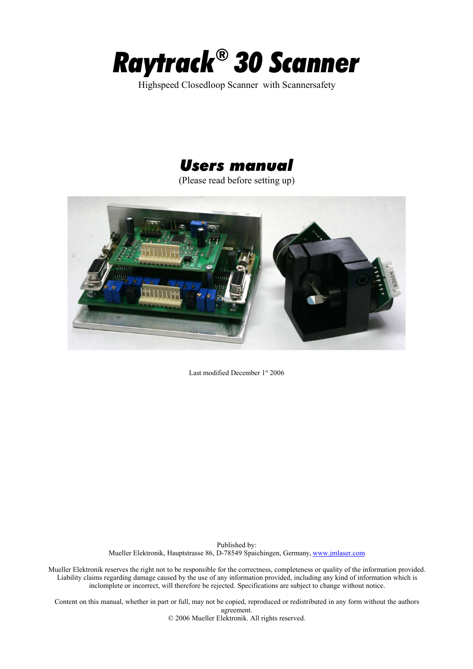

Highspeed Closedloop Scanner with Scannersafety

# *Users manual*

(Please read before setting up)



Last modified December 1st 2006

Published by: Mueller Elektronik, Hauptstrasse 86, D-78549 Spaichingen, Germany, www.jmlaser.com

Mueller Elektronik reserves the right not to be responsible for the correctness, completeness or quality of the information provided. Liability claims regarding damage caused by the use of any information provided, including any kind of information which is inclomplete or incorrect, will therefore be rejected. Specifications are subject to change without notice.

Content on this manual, whether in part or full, may not be copied, reproduced or redistributed in any form without the authors agreement.

© 2006 Mueller Elektronik. All rights reserved.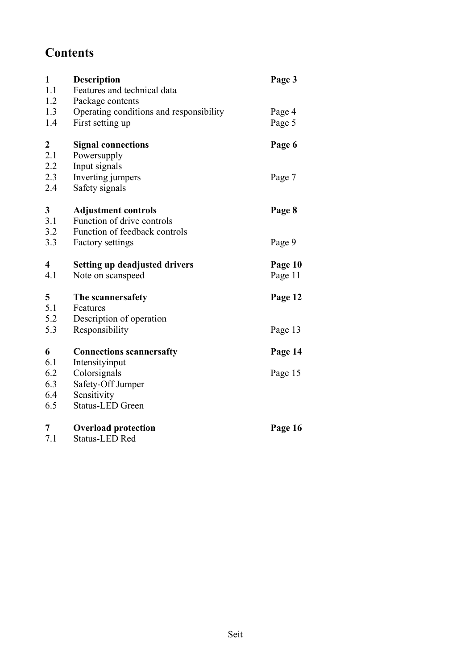# **Contents**

| $\mathbf{1}$<br>1.1<br>1.2 | <b>Description</b><br>Features and technical data<br>Package contents | Page 3  |
|----------------------------|-----------------------------------------------------------------------|---------|
| 1.3                        | Operating conditions and responsibility                               | Page 4  |
| 1.4                        | First setting up                                                      | Page 5  |
| $\boldsymbol{2}$           | <b>Signal connections</b>                                             | Page 6  |
| 2.1                        | Powersupply                                                           |         |
| 2.2                        | Input signals                                                         |         |
| 2.3                        | Inverting jumpers                                                     | Page 7  |
| 2.4                        | Safety signals                                                        |         |
| 3                          | <b>Adjustment controls</b>                                            | Page 8  |
| 3.1                        | Function of drive controls                                            |         |
| 3.2                        | Function of feedback controls                                         |         |
| 3.3                        | <b>Factory settings</b>                                               | Page 9  |
| $\overline{\mathbf{4}}$    | <b>Setting up deadjusted drivers</b>                                  | Page 10 |
| 4.1                        | Note on scanspeed                                                     | Page 11 |
| 5                          | The scannersafety                                                     | Page 12 |
| 5.1                        | Features                                                              |         |
| 5.2                        | Description of operation                                              |         |
| 5.3                        | Responsibility                                                        | Page 13 |
| 6                          | <b>Connections scannersafty</b>                                       | Page 14 |
| 6.1                        |                                                                       |         |
|                            | Intensityinput                                                        |         |
| 6.2                        | Colorsignals                                                          | Page 15 |
| 6.3                        | Safety-Off Jumper                                                     |         |
| 6.4                        | Sensitivity                                                           |         |
| 6.5                        | <b>Status-LED Green</b>                                               |         |
| 7                          | <b>Overload protection</b>                                            | Page 16 |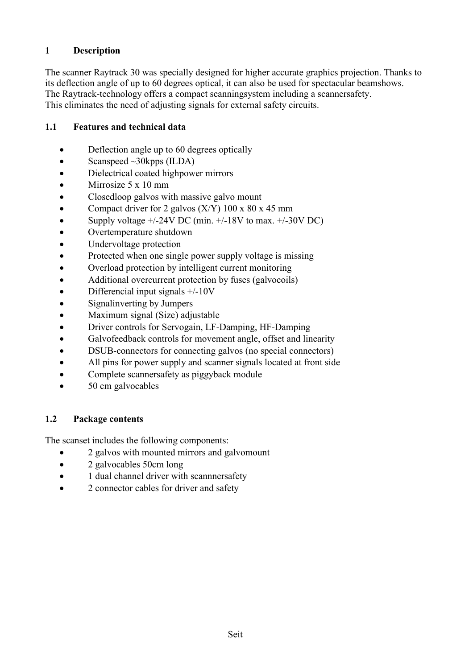# **1 Description**

The scanner Raytrack 30 was specially designed for higher accurate graphics projection. Thanks to its deflection angle of up to 60 degrees optical, it can also be used for spectacular beamshows. The Raytrack-technology offers a compact scanningsystem including a scannersafety. This eliminates the need of adjusting signals for external safety circuits.

#### **1.1 Features and technical data**

- Deflection angle up to 60 degrees optically
- Scanspeed  $\sim$ 30kpps (ILDA)
- · Dielectrical coated highpower mirrors
- Mirrosize 5 x 10 mm
- Closedloop galvos with massive galvo mount
- Compact driver for 2 galvos  $(X/Y)$  100 x 80 x 45 mm
- Supply voltage  $+/-24V$  DC (min.  $+/-18V$  to max.  $+/-30V$  DC)
- Overtemperature shutdown
- Undervoltage protection
- Protected when one single power supply voltage is missing
- Overload protection by intelligent current monitoring
- Additional overcurrent protection by fuses (galvocoils)
- Differencial input signals  $+/-10V$
- Signal inverting by Jumpers
- Maximum signal (Size) adjustable
- · Driver controls for Servogain, LF-Damping, HF-Damping
- Galvofeedback controls for movement angle, offset and linearity
- DSUB-connectors for connecting galvos (no special connectors)
- All pins for power supply and scanner signals located at front side
- Complete scanners afety as piggyback module
- 50 cm galvocables

### **1.2 Package contents**

The scanset includes the following components:

- · 2 galvos with mounted mirrors and galvomount
- 2 galvocables 50cm long
- 1 dual channel driver with scanners afety
- 2 connector cables for driver and safety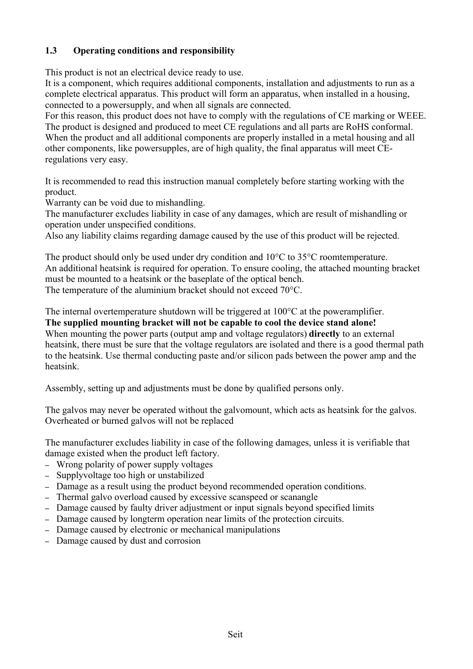# **1.3 Operating conditions and responsibility**

This product is not an electrical device ready to use.

It is a component, which requires additional components, installation and adjustments to run as a complete electrical apparatus. This product will form an apparatus, when installed in a housing, connected to a powersupply, and when all signals are connected.

For this reason, this product does not have to comply with the regulations of CE marking or WEEE. The product is designed and produced to meet CE regulations and all parts are RoHS conformal. When the product and all additional components are properly installed in a metal housing and all other components, like powersupples, are of high quality, the final apparatus will meet CEregulations very easy.

It is recommended to read this instruction manual completely before starting working with the product.

Warranty can be void due to mishandling.

The manufacturer excludes liability in case of any damages, which are result of mishandling or operation under unspecified conditions.

Also any liability claims regarding damage caused by the use of this product will be rejected.

The product should only be used under dry condition and 10<sup>o</sup>C to 35<sup>o</sup>C roomtemperature. An additional heatsink is required for operation. To ensure cooling, the attached mounting bracket must be mounted to a heatsink or the baseplate of the optical bench. The temperature of the aluminium bracket should not exceed 70°C.

The internal overtemperature shutdown will be triggered at 100°C at the poweramplifier. **The supplied mounting bracket will not be capable to cool the device stand alone!** When mounting the power parts (output amp and voltage regulators) **directly** to an external heatsink, there must be sure that the voltage regulators are isolated and there is a good thermal path to the heatsink. Use thermal conducting paste and/or silicon pads between the power amp and the heatsink.

Assembly, setting up and adjustments must be done by qualified persons only.

The galvos may never be operated without the galvomount, which acts as heatsink for the galvos. Overheated or burned galvos will not be replaced

The manufacturer excludes liability in case of the following damages, unless it is verifiable that damage existed when the product left factory.

- Wrong polarity of power supply voltages
- Supplyvoltage too high or unstabilized
- Damage as a result using the product beyond recommended operation conditions.
- Thermal galvo overload caused by excessive scanspeed or scanangle
- Damage caused by faulty driver adjustment or input signals beyond specified limits
- Damage caused by longterm operation near limits of the protection circuits.
- Damage caused by electronic or mechanical manipulations
- Damage caused by dust and corrosion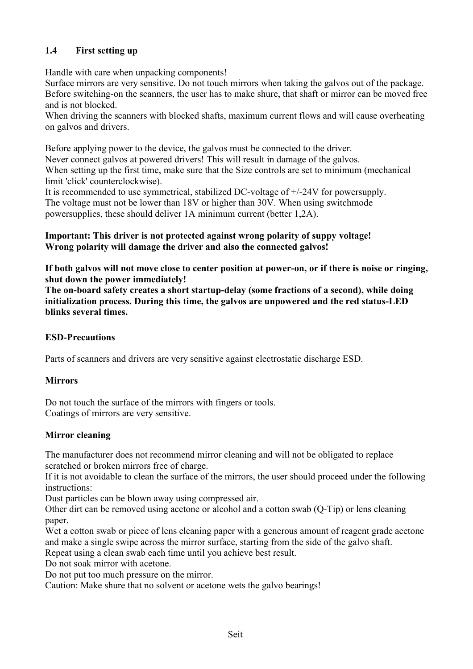# **1.4 First setting up**

Handle with care when unpacking components!

Surface mirrors are very sensitive. Do not touch mirrors when taking the galvos out of the package. Before switching-on the scanners, the user has to make shure, that shaft or mirror can be moved free and is not blocked.

When driving the scanners with blocked shafts, maximum current flows and will cause overheating on galvos and drivers.

Before applying power to the device, the galvos must be connected to the driver.

Never connect galvos at powered drivers! This will result in damage of the galvos. When setting up the first time, make sure that the Size controls are set to minimum (mechanical limit 'click' counterclockwise).

It is recommended to use symmetrical, stabilized DC-voltage of +/-24V for powersupply. The voltage must not be lower than 18V or higher than 30V. When using switchmode powersupplies, these should deliver 1A minimum current (better 1,2A).

#### **Important: This driver is not protected against wrong polarity of suppy voltage! Wrong polarity will damage the driver and also the connected galvos!**

**If both galvos will not move close to center position at power-on, or if there is noise or ringing, shut down the power immediately!**

**The on-board safety creates a short startup-delay (some fractions of a second), while doing initialization process. During this time, the galvos are unpowered and the red status-LED blinks several times.**

### **ESD-Precautions**

Parts of scanners and drivers are very sensitive against electrostatic discharge ESD.

### **Mirrors**

Do not touch the surface of the mirrors with fingers or tools. Coatings of mirrors are very sensitive.

### **Mirror cleaning**

The manufacturer does not recommend mirror cleaning and will not be obligated to replace scratched or broken mirrors free of charge.

If it is not avoidable to clean the surface of the mirrors, the user should proceed under the following instructions:

Dust particles can be blown away using compressed air.

Other dirt can be removed using acetone or alcohol and a cotton swab (Q-Tip) or lens cleaning paper.

Wet a cotton swab or piece of lens cleaning paper with a generous amount of reagent grade acetone and make a single swipe across the mirror surface, starting from the side of the galvo shaft. Repeat using a clean swab each time until you achieve best result.

Do not soak mirror with acetone.

Do not put too much pressure on the mirror.

Caution: Make shure that no solvent or acetone wets the galvo bearings!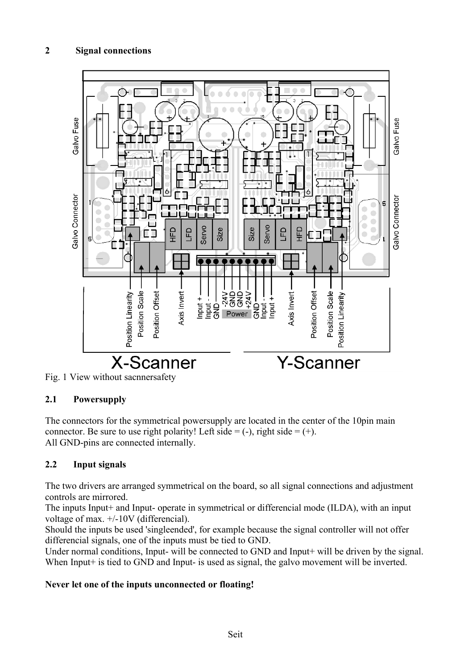# **2 Signal connections**





### **2.1 Powersupply**

The connectors for the symmetrical powersupply are located in the center of the 10pin main connector. Be sure to use right polarity! Left side  $= (-)$ , right side  $= (+)$ . All GND-pins are connected internally.

### **2.2 Input signals**

The two drivers are arranged symmetrical on the board, so all signal connections and adjustment controls are mirrored.

The inputs Input+ and Input- operate in symmetrical or differencial mode (ILDA), with an input voltage of max. +/-10V (differencial).

Should the inputs be used 'singleended', for example because the signal controller will not offer differencial signals, one of the inputs must be tied to GND.

Under normal conditions, Input- will be connected to GND and Input+ will be driven by the signal. When Input<sup>+</sup> is tied to GND and Input- is used as signal, the galvo movement will be inverted.

#### **Never let one of the inputs unconnected or floating!**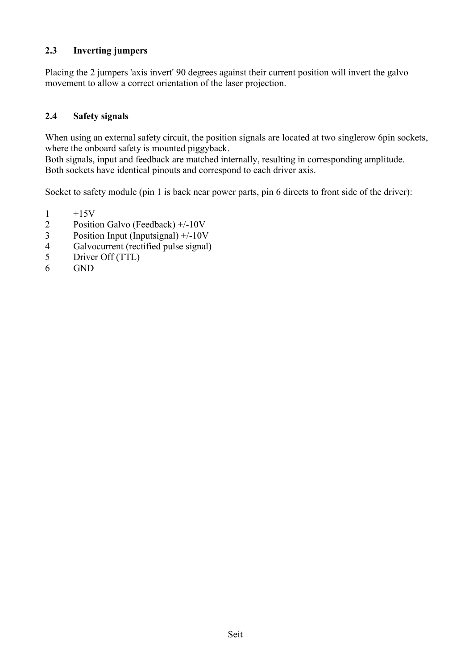#### **2.3 Inverting jumpers**

Placing the 2 jumpers 'axis invert' 90 degrees against their current position will invert the galvo movement to allow a correct orientation of the laser projection.

#### **2.4 Safety signals**

When using an external safety circuit, the position signals are located at two singlerow 6pin sockets, where the onboard safety is mounted piggyback.

Both signals, input and feedback are matched internally, resulting in corresponding amplitude. Both sockets have identical pinouts and correspond to each driver axis.

Socket to safety module (pin 1 is back near power parts, pin 6 directs to front side of the driver):

- $\frac{1}{2}$  +15V<br>Positie
- Position Galvo (Feedback) +/-10V
- 3 Position Input (Inputsignal) +/-10V
- 4 Galvocurrent (rectified pulse signal)
- 5 Driver Off (TTL)
- 6 GND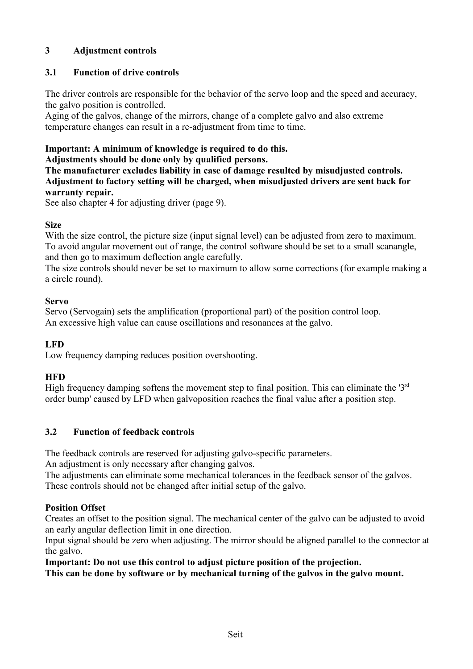### **3 Adjustment controls**

# **3.1 Function of drive controls**

The driver controls are responsible for the behavior of the servo loop and the speed and accuracy, the galvo position is controlled.

Aging of the galvos, change of the mirrors, change of a complete galvo and also extreme temperature changes can result in a re-adjustment from time to time.

# **Important: A minimum of knowledge is required to do this.**

**Adjustments should be done only by qualified persons.**

**The manufacturer excludes liability in case of damage resulted by misudjusted controls. Adjustment to factory setting will be charged, when misudjusted drivers are sent back for warranty repair.**

See also chapter 4 for adjusting driver (page 9).

### **Size**

With the size control, the picture size (input signal level) can be adjusted from zero to maximum. To avoid angular movement out of range, the control software should be set to a small scanangle, and then go to maximum deflection angle carefully.

The size controls should never be set to maximum to allow some corrections (for example making a a circle round).

#### **Servo**

Servo (Servogain) sets the amplification (proportional part) of the position control loop. An excessive high value can cause oscillations and resonances at the galvo.

### **LFD**

Low frequency damping reduces position overshooting.

### **HFD**

High frequency damping softens the movement step to final position. This can eliminate the ' $3<sup>rd</sup>$ order bump' caused by LFD when galvoposition reaches the final value after a position step.

### **3.2 Function of feedback controls**

The feedback controls are reserved for adjusting galvo-specific parameters.

An adjustment is only necessary after changing galvos.

The adjustments can eliminate some mechanical tolerances in the feedback sensor of the galvos. These controls should not be changed after initial setup of the galvo.

### **Position Offset**

Creates an offset to the position signal. The mechanical center of the galvo can be adjusted to avoid an early angular deflection limit in one direction.

Input signal should be zero when adjusting. The mirror should be aligned parallel to the connector at the galvo.

**Important: Do not use this control to adjust picture position of the projection.**

**This can be done by software or by mechanical turning of the galvos in the galvo mount.**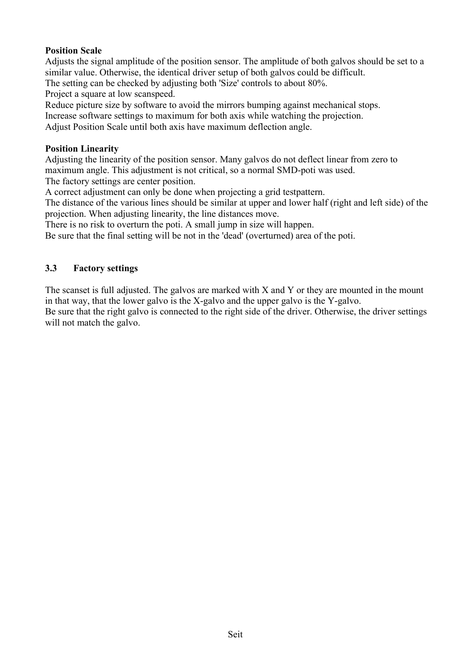#### **Position Scale**

Adjusts the signal amplitude of the position sensor. The amplitude of both galvos should be set to a similar value. Otherwise, the identical driver setup of both galvos could be difficult.

The setting can be checked by adjusting both 'Size' controls to about 80%.

Project a square at low scanspeed.

Reduce picture size by software to avoid the mirrors bumping against mechanical stops.

Increase software settings to maximum for both axis while watching the projection.

Adjust Position Scale until both axis have maximum deflection angle.

#### **Position Linearity**

Adjusting the linearity of the position sensor. Many galvos do not deflect linear from zero to maximum angle. This adjustment is not critical, so a normal SMD-poti was used. The factory settings are center position.

A correct adjustment can only be done when projecting a grid testpattern.

The distance of the various lines should be similar at upper and lower half (right and left side) of the projection. When adjusting linearity, the line distances move.

There is no risk to overturn the poti. A small jump in size will happen.

Be sure that the final setting will be not in the 'dead' (overturned) area of the poti.

#### **3.3 Factory settings**

The scanset is full adjusted. The galvos are marked with  $X$  and  $Y$  or they are mounted in the mount in that way, that the lower galvo is the X-galvo and the upper galvo is the Y-galvo.

Be sure that the right galvo is connected to the right side of the driver. Otherwise, the driver settings will not match the galvo.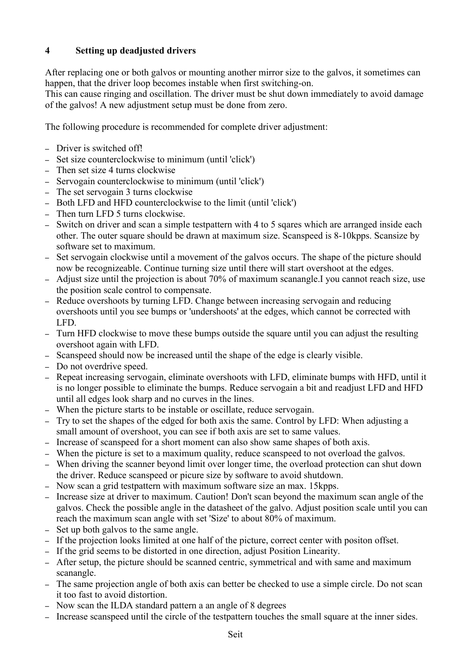# **4 Setting up deadjusted drivers**

After replacing one or both galvos or mounting another mirror size to the galvos, it sometimes can happen, that the driver loop becomes instable when first switching-on.

This can cause ringing and oscillation. The driver must be shut down immediately to avoid damage of the galvos! A new adjustment setup must be done from zero.

The following procedure is recommended for complete driver adjustment:

- Driver is switched off!
- Set size counterclockwise to minimum (until 'click')
- Then set size 4 turns clockwise
- Servogain counterclockwise to minimum (until 'click')
- The set servogain 3 turns clockwise
- Both LFD and HFD counterclockwise to the limit (until 'click')
- Then turn LFD 5 turns clockwise.
- Switch on driver and scan a simple testpattern with 4 to 5 sqares which are arranged inside each other. The outer square should be drawn at maximum size. Scanspeed is 8-10kpps. Scansize by software set to maximum.
- Set servogain clockwise until a movement of the galvos occurs. The shape of the picture should now be recognizeable. Continue turning size until there will start overshoot at the edges.
- Adjust size until the projection is about 70% of maximum scanangle.I you cannot reach size, use the position scale control to compensate.
- Reduce overshoots by turning LFD. Change between increasing servogain and reducing overshoots until you see bumps or 'undershoots' at the edges, which cannot be corrected with LFD.
- Turn HFD clockwise to move these bumps outside the square until you can adjust the resulting overshoot again with LFD.
- Scanspeed should now be increased until the shape of the edge is clearly visible.
- Do not overdrive speed.
- Repeat increasing servogain, eliminate overshoots with LFD, eliminate bumps with HFD, until it is no longer possible to eliminate the bumps. Reduce servogain a bit and readjust LFD and HFD until all edges look sharp and no curves in the lines.
- When the picture starts to be instable or oscillate, reduce servogain.
- Try to set the shapes of the edged for both axis the same. Control by LFD: When adjusting a small amount of overshoot, you can see if both axis are set to same values.
- Increase of scanspeed for a short moment can also show same shapes of both axis.
- When the picture is set to a maximum quality, reduce scanspeed to not overload the galvos.
- When driving the scanner beyond limit over longer time, the overload protection can shut down the driver. Reduce scanspeed or picure size by software to avoid shutdown.
- Now scan a grid testpattern with maximum software size an max. 15kpps.
- Increase size at driver to maximum. Caution! Don't scan beyond the maximum scan angle of the galvos. Check the possible angle in the datasheet of the galvo. Adjust position scale until you can reach the maximum scan angle with set 'Size' to about 80% of maximum.
- Set up both galvos to the same angle.
- If the projection looks limited at one half of the picture, correct center with positon offset.
- If the grid seems to be distorted in one direction, adjust Position Linearity.
- After setup, the picture should be scanned centric, symmetrical and with same and maximum scanangle.
- The same projection angle of both axis can better be checked to use a simple circle. Do not scan it too fast to avoid distortion.
- Now scan the ILDA standard pattern a an angle of 8 degrees
- Increase scanspeed until the circle of the testpattern touches the small square at the inner sides.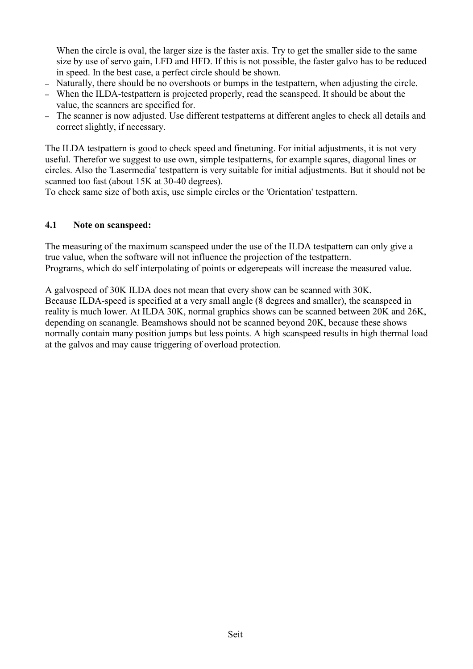When the circle is oval, the larger size is the faster axis. Try to get the smaller side to the same size by use of servo gain, LFD and HFD. If this is not possible, the faster galvo has to be reduced in speed. In the best case, a perfect circle should be shown.

- Naturally, there should be no overshoots or bumps in the testpattern, when adjusting the circle.
- When the ILDA-testpattern is projected properly, read the scanspeed. It should be about the value, the scanners are specified for.
- The scanner is now adjusted. Use different testpatterns at different angles to check all details and correct slightly, if necessary.

The ILDA testpattern is good to check speed and finetuning. For initial adjustments, it is not very useful. Therefor we suggest to use own, simple testpatterns, for example sqares, diagonal lines or circles. Also the 'Lasermedia' testpattern is very suitable for initial adjustments. But it should not be scanned too fast (about 15K at 30-40 degrees).

To check same size of both axis, use simple circles or the 'Orientation' testpattern.

#### **4.1 Note on scanspeed:**

The measuring of the maximum scanspeed under the use of the ILDA testpattern can only give a true value, when the software will not influence the projection of the testpattern. Programs, which do self interpolating of points or edgerepeats will increase the measured value.

A galvospeed of 30K ILDA does not mean that every show can be scanned with 30K. Because ILDA-speed is specified at a very small angle (8 degrees and smaller), the scanspeed in reality is much lower. At ILDA 30K, normal graphics shows can be scanned between 20K and 26K, depending on scanangle. Beamshows should not be scanned beyond 20K, because these shows normally contain many position jumps but less points. A high scanspeed results in high thermal load at the galvos and may cause triggering of overload protection.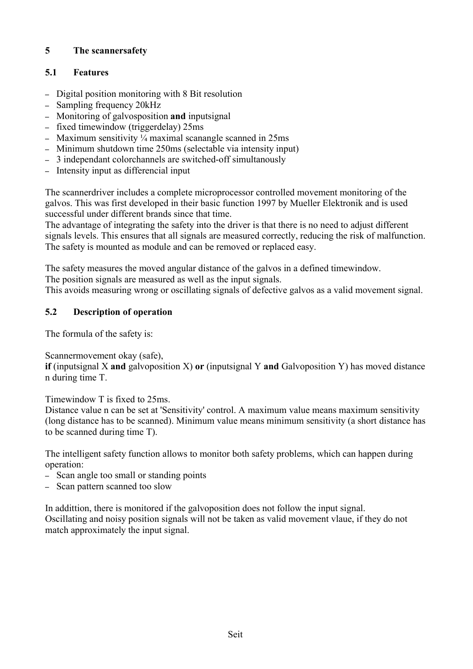# **5 The scannersafety**

# **5.1 Features**

- Digital position monitoring with 8 Bit resolution
- Sampling frequency 20kHz
- Monitoring of galvosposition **and** inputsignal
- fixed timewindow (triggerdelay) 25ms
- Maximum sensitivity  $\frac{1}{4}$  maximal scanangle scanned in 25ms
- Minimum shutdown time 250ms (selectable via intensity input)
- 3 independant colorchannels are switched-off simultanously
- Intensity input as differencial input

The scannerdriver includes a complete microprocessor controlled movement monitoring of the galvos. This was first developed in their basic function 1997 by Mueller Elektronik and is used successful under different brands since that time.

The advantage of integrating the safety into the driver is that there is no need to adjust different signals levels. This ensures that all signals are measured correctly, reducing the risk of malfunction. The safety is mounted as module and can be removed or replaced easy.

The safety measures the moved angular distance of the galvos in a defined timewindow. The position signals are measured as well as the input signals.

This avoids measuring wrong or oscillating signals of defective galvos as a valid movement signal.

### **5.2 Description of operation**

The formula of the safety is:

Scannermovement okay (safe),

**if** (inputsignal X **and** galvoposition X) **or** (inputsignal Y **and** Galvoposition Y) has moved distance n during time T.

Timewindow T is fixed to 25ms.

Distance value n can be set at 'Sensitivity' control. A maximum value means maximum sensitivity (long distance has to be scanned). Minimum value means minimum sensitivity (a short distance has to be scanned during time T).

The intelligent safety function allows to monitor both safety problems, which can happen during operation:

- Scan angle too small or standing points
- Scan pattern scanned too slow

In addittion, there is monitored if the galvoposition does not follow the input signal. Oscillating and noisy position signals will not be taken as valid movement vlaue, if they do not match approximately the input signal.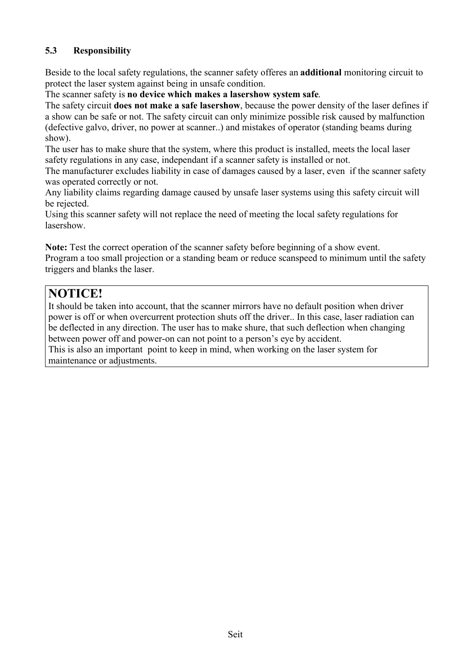# **5.3 Responsibility**

Beside to the local safety regulations, the scanner safety offeres an **additional** monitoring circuit to protect the laser system against being in unsafe condition.

The scanner safety is **no device which makes a lasershow system safe**.

The safety circuit **does not make a safe lasershow**, because the power density of the laser defines if a show can be safe or not. The safety circuit can only minimize possible risk caused by malfunction (defective galvo, driver, no power at scanner..) and mistakes of operator (standing beams during show).

The user has to make shure that the system, where this product is installed, meets the local laser safety regulations in any case, independant if a scanner safety is installed or not.

The manufacturer excludes liability in case of damages caused by a laser, even if the scanner safety was operated correctly or not.

Any liability claims regarding damage caused by unsafe laser systems using this safety circuit will be rejected.

Using this scanner safety will not replace the need of meeting the local safety regulations for lasershow.

**Note:** Test the correct operation of the scanner safety before beginning of a show event. Program a too small projection or a standing beam or reduce scanspeed to minimum until the safety triggers and blanks the laser.

# **NOTICE!**

It should be taken into account, that the scanner mirrors have no default position when driver power is off or when overcurrent protection shuts off the driver.. In this case, laser radiation can be deflected in any direction. The user has to make shure, that such deflection when changing between power off and power-on can not point to a person's eye by accident. This is also an important point to keep in mind, when working on the laser system for maintenance or adjustments.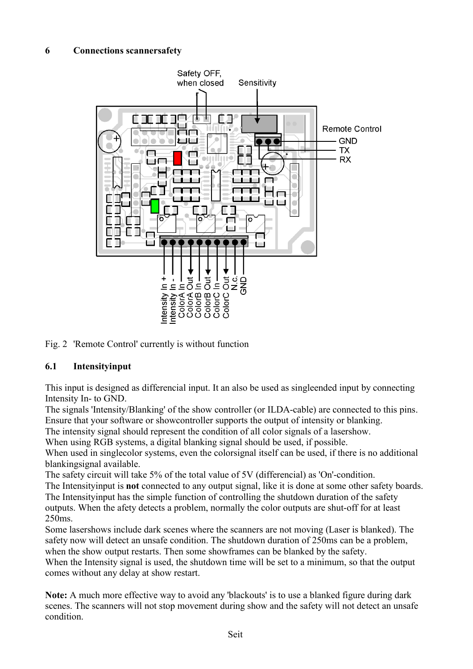#### **6 Connections scannersafety**



Fig. 2 'Remote Control' currently is without function

#### **6.1 Intensityinput**

This input is designed as differencial input. It an also be used as singleended input by connecting Intensity In- to GND.

The signals 'Intensity/Blanking' of the show controller (or ILDA-cable) are connected to this pins. Ensure that your software or showcontroller supports the output of intensity or blanking.

The intensity signal should represent the condition of all color signals of a lasershow.

When using RGB systems, a digital blanking signal should be used, if possible.

When used in singlecolor systems, even the colorsignal itself can be used, if there is no additional blankingsignal available.

The safety circuit will take 5% of the total value of 5V (differencial) as 'On'-condition.

The Intensityinput is **not** connected to any output signal, like it is done at some other safety boards. The Intensityinput has the simple function of controlling the shutdown duration of the safety outputs. When the afety detects a problem, normally the color outputs are shut-off for at least 250ms.

Some lasershows include dark scenes where the scanners are not moving (Laser is blanked). The safety now will detect an unsafe condition. The shutdown duration of 250ms can be a problem, when the show output restarts. Then some showframes can be blanked by the safety.

When the Intensity signal is used, the shutdown time will be set to a minimum, so that the output comes without any delay at show restart.

**Note:** A much more effective way to avoid any 'blackouts' is to use a blanked figure during dark scenes. The scanners will not stop movement during show and the safety will not detect an unsafe condition.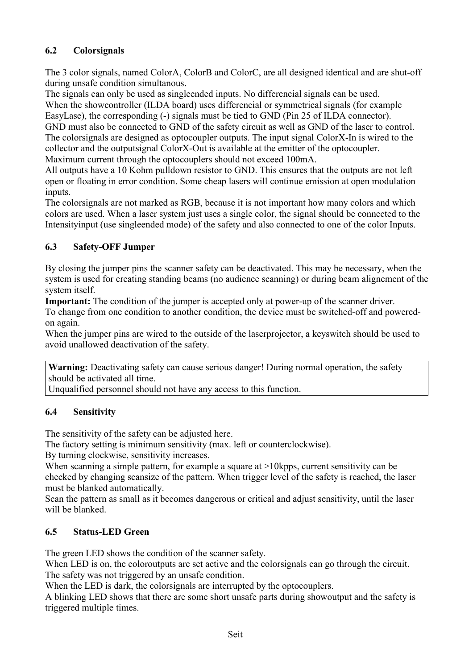# **6.2 Colorsignals**

The 3 color signals, named ColorA, ColorB and ColorC, are all designed identical and are shut-off during unsafe condition simultanous.

The signals can only be used as singleended inputs. No differencial signals can be used. When the showcontroller (ILDA board) uses differencial or symmetrical signals (for example EasyLase), the corresponding (-) signals must be tied to GND (Pin 25 of ILDA connector). GND must also be connected to GND of the safety circuit as well as GND of the laser to control. The colorsignals are designed as optocoupler outputs. The input signal ColorX-In is wired to the collector and the outputsignal ColorX-Out is available at the emitter of the optocoupler.

Maximum current through the optocouplers should not exceed 100mA.

All outputs have a 10 Kohm pulldown resistor to GND. This ensures that the outputs are not left open or floating in error condition. Some cheap lasers will continue emission at open modulation inputs.

The colorsignals are not marked as RGB, because it is not important how many colors and which colors are used. When a laser system just uses a single color, the signal should be connected to the Intensityinput (use singleended mode) of the safety and also connected to one of the color Inputs.

# **6.3 Safety-OFF Jumper**

By closing the jumper pins the scanner safety can be deactivated. This may be necessary, when the system is used for creating standing beams (no audience scanning) or during beam alignement of the system itself.

**Important:** The condition of the jumper is accepted only at power-up of the scanner driver.

To change from one condition to another condition, the device must be switched-off and poweredon again.

When the jumper pins are wired to the outside of the laserprojector, a keyswitch should be used to avoid unallowed deactivation of the safety.

**Warning:** Deactivating safety can cause serious danger! During normal operation, the safety should be activated all time.

Unqualified personnel should not have any access to this function.

### **6.4 Sensitivity**

The sensitivity of the safety can be adjusted here.

The factory setting is minimum sensitivity (max. left or counterclockwise).

By turning clockwise, sensitivity increases.

When scanning a simple pattern, for example a square at >10 kpps, current sensitivity can be checked by changing scansize of the pattern. When trigger level of the safety is reached, the laser must be blanked automatically.

Scan the pattern as small as it becomes dangerous or critical and adjust sensitivity, until the laser will be blanked.

### **6.5 Status-LED Green**

The green LED shows the condition of the scanner safety.

When LED is on, the coloroutputs are set active and the colorsignals can go through the circuit. The safety was not triggered by an unsafe condition.

When the LED is dark, the colorsignals are interrupted by the optocouplers.

A blinking LED shows that there are some short unsafe parts during showoutput and the safety is triggered multiple times.